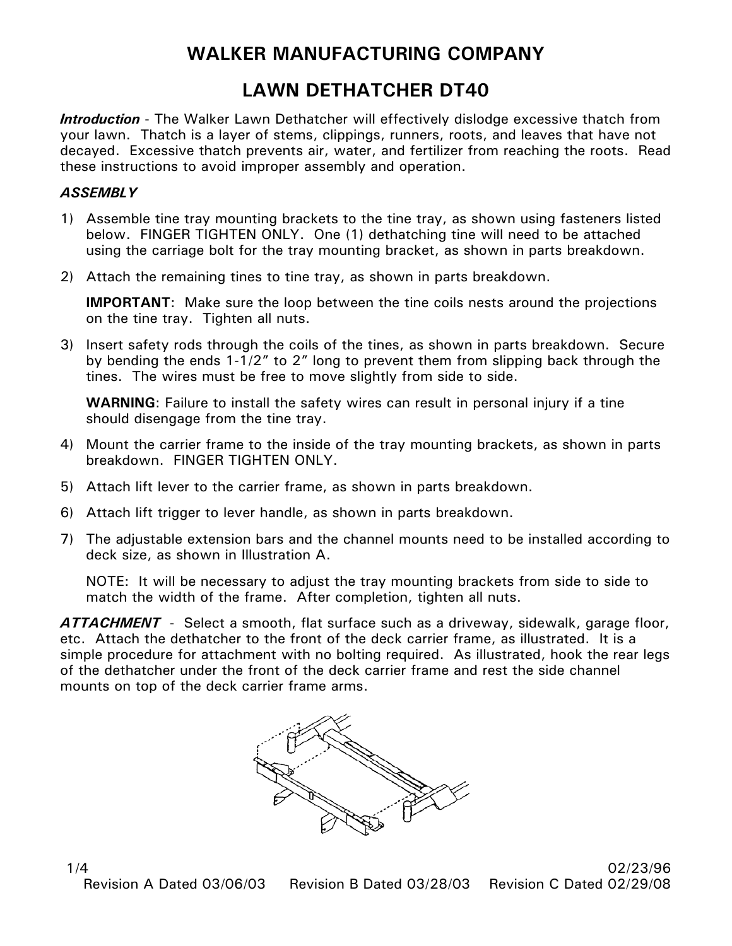## **WALKER MANUFACTURING COMPANY**

## **LAWN DETHATCHER DT40**

*Introduction* - The Walker Lawn Dethatcher will effectively dislodge excessive thatch from your lawn. Thatch is a layer of stems, clippings, runners, roots, and leaves that have not decayed. Excessive thatch prevents air, water, and fertilizer from reaching the roots. Read these instructions to avoid improper assembly and operation.

## *ASSEMBLY*

- 1) Assemble tine tray mounting brackets to the tine tray, as shown using fasteners listed below. FINGER TIGHTEN ONLY. One (1) dethatching tine will need to be attached using the carriage bolt for the tray mounting bracket, as shown in parts breakdown.
- 2) Attach the remaining tines to tine tray, as shown in parts breakdown.

**IMPORTANT**: Make sure the loop between the tine coils nests around the projections on the tine tray. Tighten all nuts.

3) Insert safety rods through the coils of the tines, as shown in parts breakdown. Secure by bending the ends 1-1/2" to 2" long to prevent them from slipping back through the tines. The wires must be free to move slightly from side to side.

**WARNING**: Failure to install the safety wires can result in personal injury if a tine should disengage from the tine tray.

- 4) Mount the carrier frame to the inside of the tray mounting brackets, as shown in parts breakdown. FINGER TIGHTEN ONLY.
- 5) Attach lift lever to the carrier frame, as shown in parts breakdown.
- 6) Attach lift trigger to lever handle, as shown in parts breakdown.
- 7) The adjustable extension bars and the channel mounts need to be installed according to deck size, as shown in Illustration A.

NOTE: It will be necessary to adjust the tray mounting brackets from side to side to match the width of the frame. After completion, tighten all nuts.

*ATTACHMENT* - Select a smooth, flat surface such as a driveway, sidewalk, garage floor, etc. Attach the dethatcher to the front of the deck carrier frame, as illustrated. It is a simple procedure for attachment with no bolting required. As illustrated, hook the rear legs of the dethatcher under the front of the deck carrier frame and rest the side channel mounts on top of the deck carrier frame arms.



1/4 02/23/96 Revision A Dated 03/06/03 Revision B Dated 03/28/03 Revision C Dated 02/29/08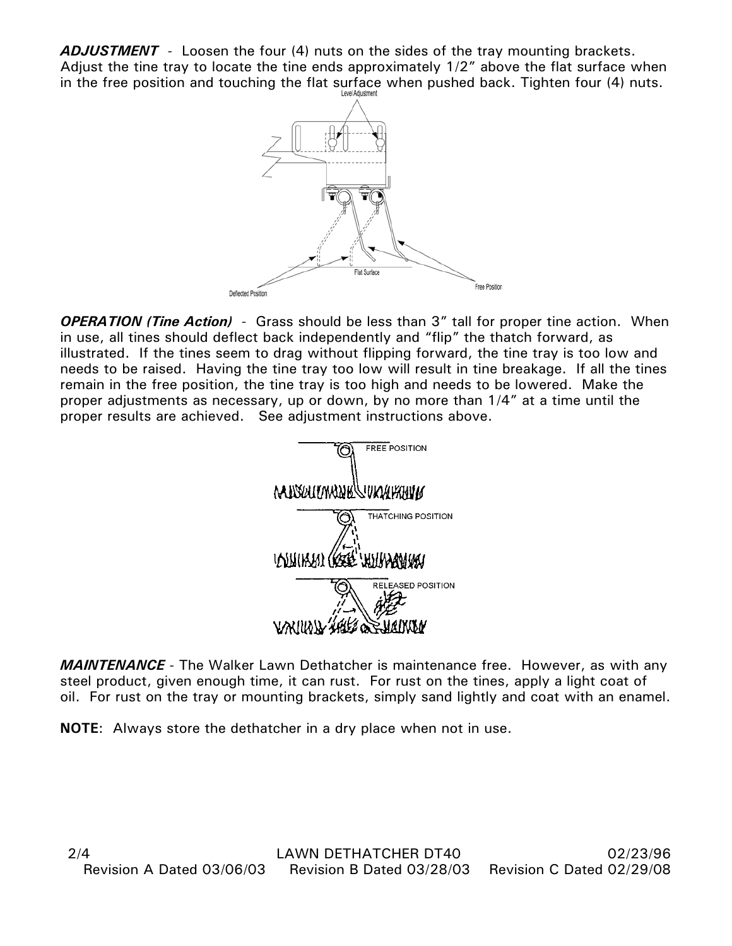*ADJUSTMENT* - Loosen the four (4) nuts on the sides of the tray mounting brackets. Adjust the tine tray to locate the tine ends approximately 1/2" above the flat surface when in the free position and touching the flat surface when pushed back. Tighten four (4) nuts.



*OPERATION (Tine Action)* - Grass should be less than 3" tall for proper tine action. When in use, all tines should deflect back independently and "flip" the thatch forward, as illustrated. If the tines seem to drag without flipping forward, the tine tray is too low and needs to be raised. Having the tine tray too low will result in tine breakage. If all the tines remain in the free position, the tine tray is too high and needs to be lowered. Make the proper adjustments as necessary, up or down, by no more than 1/4" at a time until the proper results are achieved. See adjustment instructions above.



*MAINTENANCE* - The Walker Lawn Dethatcher is maintenance free. However, as with any steel product, given enough time, it can rust. For rust on the tines, apply a light coat of oil. For rust on the tray or mounting brackets, simply sand lightly and coat with an enamel.

**NOTE**: Always store the dethatcher in a dry place when not in use.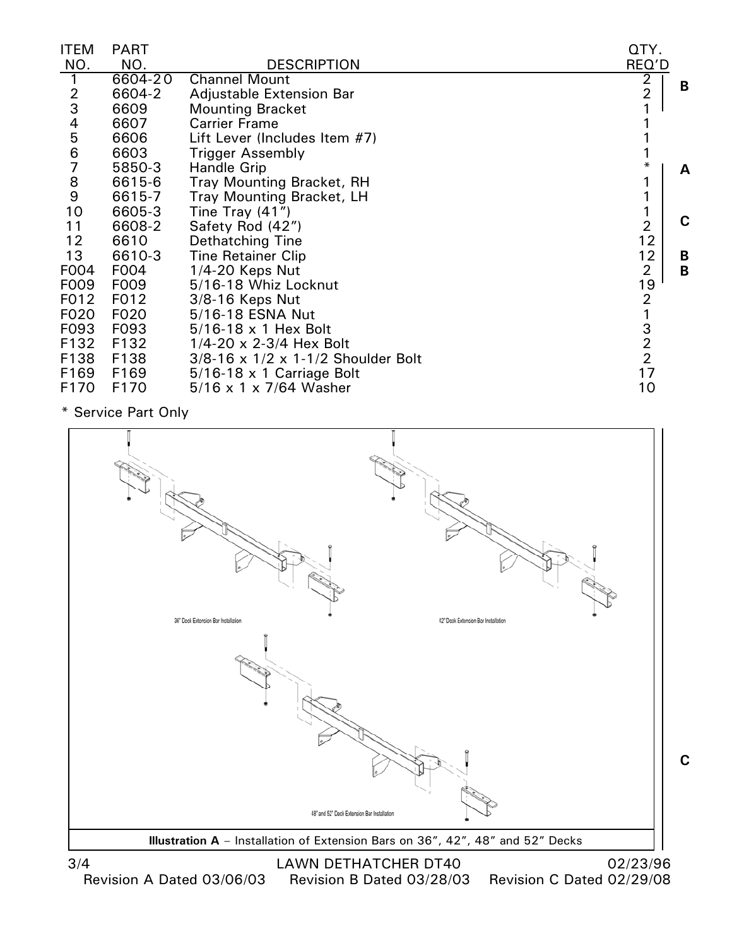| ITEM                                  | PART        |                                                    | QTY.           |   |
|---------------------------------------|-------------|----------------------------------------------------|----------------|---|
| NO.                                   | NO.         | <b>DESCRIPTION</b>                                 | REQ'D          |   |
| 1                                     | $6604 - 20$ | <b>Channel Mount</b>                               | 2              | B |
| $\frac{2}{3}$                         | 6604-2      | Adjustable Extension Bar                           | 2              |   |
|                                       | 6609        | <b>Mounting Bracket</b>                            |                |   |
| 4                                     | 6607        | <b>Carrier Frame</b>                               |                |   |
| 5                                     | 6606        | Lift Lever (Includes Item #7)                      |                |   |
| 6                                     | 6603        | <b>Trigger Assembly</b>                            |                |   |
|                                       | 5850-3      | Handle Grip                                        | $\ast$         | A |
| $\begin{array}{c} 8 \\ 9 \end{array}$ | 6615-6      | <b>Tray Mounting Bracket, RH</b>                   |                |   |
|                                       | 6615-7      | <b>Tray Mounting Bracket, LH</b>                   |                |   |
| 10                                    | 6605-3      | Tine Tray $(41")$                                  |                |   |
| 11                                    | 6608-2      | Safety Rod (42")                                   | $\overline{2}$ | C |
| 12                                    | 6610        | Dethatching Tine                                   | 12             |   |
| 13                                    | 6610-3      | <b>Tine Retainer Clip</b>                          | 12             | B |
| F004                                  | F004        | $1/4 - 20$ Keps Nut                                | 2              | B |
| F009                                  | F009        | 5/16-18 Whiz Locknut                               | 19             |   |
| F012                                  | F012        | 3/8-16 Keps Nut                                    | 2              |   |
| F020                                  | F020        | 5/16-18 ESNA Nut                                   |                |   |
| F093                                  | F093        | $5/16-18 \times 1$ Hex Bolt                        | $\frac{3}{2}$  |   |
| F132                                  | F132        | $1/4 - 20 \times 2 - 3/4$ Hex Bolt                 |                |   |
| F138                                  | F138        | $3/8 - 16 \times 1/2 \times 1 - 1/2$ Shoulder Bolt |                |   |
| F169                                  | F169        | $5/16-18 \times 1$ Carriage Bolt                   | 17             |   |
| F170                                  | F170        | $5/16 \times 1 \times 7/64$ Washer                 | 10             |   |

\* Service Part Only



3/4 LAWN DETHATCHER DT40 02/23/96<br>Revision A Dated 03/06/03 Revision B Dated 03/28/03 Revision C Dated 02/29/08

Revision C Dated 02/29/08

**C**